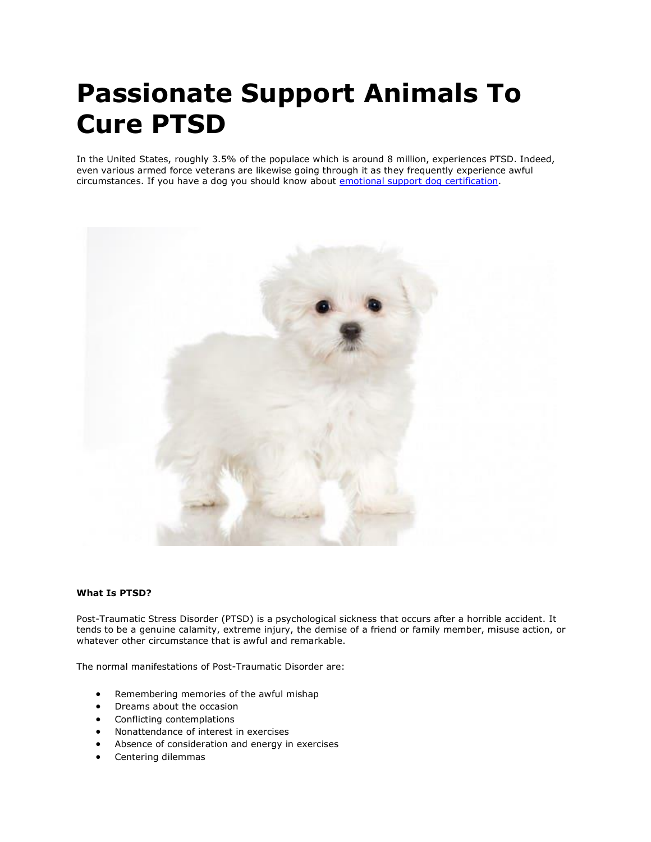# **Passionate Support Animals To Cure PTSD**

In the United States, roughly 3.5% of the populace which is around 8 million, experiences PTSD. Indeed, even various armed force veterans are likewise going through it as they frequently experience awful circumstances. If you have a dog you should know about [emotional support dog certification.](https://www.realesaletter.com/blog/emotional-support-dog-certification)



## **What Is PTSD?**

Post-Traumatic Stress Disorder (PTSD) is a psychological sickness that occurs after a horrible accident. It tends to be a genuine calamity, extreme injury, the demise of a friend or family member, misuse action, or whatever other circumstance that is awful and remarkable.

The normal manifestations of Post-Traumatic Disorder are:

- Remembering memories of the awful mishap
- Dreams about the occasion
- Conflicting contemplations
- Nonattendance of interest in exercises
- Absence of consideration and energy in exercises
- Centering dilemmas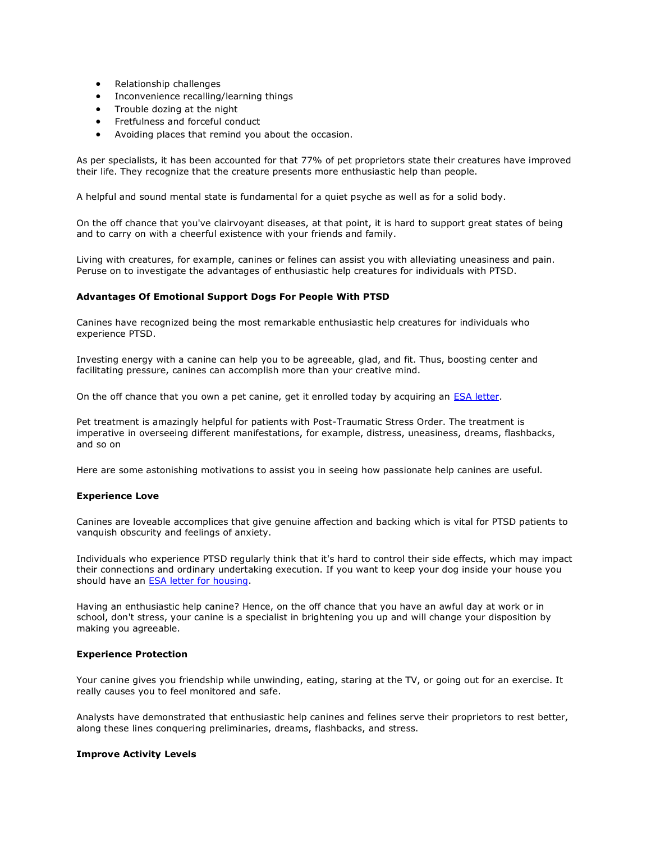- Relationship challenges
- Inconvenience recalling/learning things
- Trouble dozing at the night
- Fretfulness and forceful conduct
- Avoiding places that remind you about the occasion.

As per specialists, it has been accounted for that 77% of pet proprietors state their creatures have improved their life. They recognize that the creature presents more enthusiastic help than people.

A helpful and sound mental state is fundamental for a quiet psyche as well as for a solid body.

On the off chance that you've clairvoyant diseases, at that point, it is hard to support great states of being and to carry on with a cheerful existence with your friends and family.

Living with creatures, for example, canines or felines can assist you with alleviating uneasiness and pain. Peruse on to investigate the advantages of enthusiastic help creatures for individuals with PTSD.

## **Advantages Of Emotional Support Dogs For People With PTSD**

Canines have recognized being the most remarkable enthusiastic help creatures for individuals who experience PTSD.

Investing energy with a canine can help you to be agreeable, glad, and fit. Thus, boosting center and facilitating pressure, canines can accomplish more than your creative mind.

On the off chance that you own a pet canine, get it enrolled today by acquiring an [ESA letter.](https://www.realesaletter.com/sample-esa-letter)

Pet treatment is amazingly helpful for patients with Post-Traumatic Stress Order. The treatment is imperative in overseeing different manifestations, for example, distress, uneasiness, dreams, flashbacks, and so on

Here are some astonishing motivations to assist you in seeing how passionate help canines are useful.

#### **Experience Love**

Canines are loveable accomplices that give genuine affection and backing which is vital for PTSD patients to vanquish obscurity and feelings of anxiety.

Individuals who experience PTSD regularly think that it's hard to control their side effects, which may impact their connections and ordinary undertaking execution. If you want to keep your dog inside your house you should have an [ESA letter for housing.](https://www.realesaletter.com/sample-esa-letter)

Having an enthusiastic help canine? Hence, on the off chance that you have an awful day at work or in school, don't stress, your canine is a specialist in brightening you up and will change your disposition by making you agreeable.

## **Experience Protection**

Your canine gives you friendship while unwinding, eating, staring at the TV, or going out for an exercise. It really causes you to feel monitored and safe.

Analysts have demonstrated that enthusiastic help canines and felines serve their proprietors to rest better, along these lines conquering preliminaries, dreams, flashbacks, and stress.

#### **Improve Activity Levels**